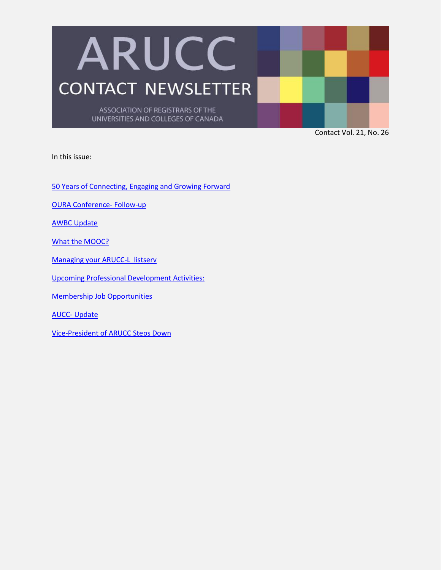

Contact Vol. 21, No. 26

In this issue:

[50 Years of Connecting, Engaging and Growing Forward](#page-1-0)

[OURA Conference-](#page-3-0) Follow-up

[AWBC Update](#page-4-0)

[What the MOOC?](#page-6-0)

[Managing your ARUCC-L listserv](#page-8-0)

[Upcoming Professional Development Activities:](#page-8-1)

[Membership Job Opportunities](#page-9-0)

AUCC- [Update](#page-9-1)

[Vice-President of ARUCC Steps Down](#page-9-2)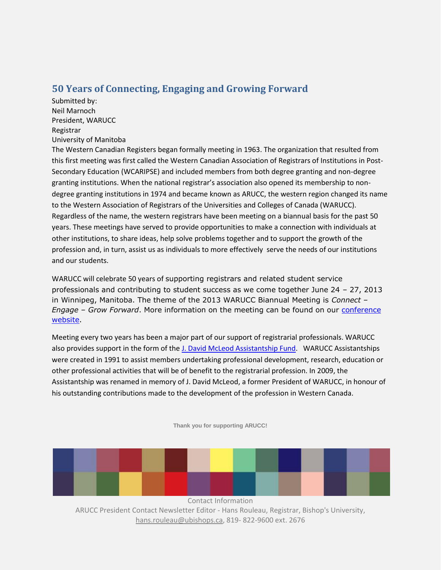## <span id="page-1-0"></span>**50 Years of Connecting, Engaging and Growing Forward**

Submitted by: Neil Marnoch President, WARUCC Registrar University of Manitoba

The Western Canadian Registers began formally meeting in 1963. The organization that resulted from this first meeting was first called the Western Canadian Association of Registrars of Institutions in Post-Secondary Education (WCARIPSE) and included members from both degree granting and non-degree granting institutions. When the national registrar's association also opened its membership to nondegree granting institutions in 1974 and became known as ARUCC, the western region changed its name to the Western Association of Registrars of the Universities and Colleges of Canada (WARUCC). Regardless of the name, the western registrars have been meeting on a biannual basis for the past 50 years. These meetings have served to provide opportunities to make a connection with individuals at other institutions, to share ideas, help solve problems together and to support the growth of the profession and, in turn, assist us as individuals to more effectively serve the needs of our institutions and our students.

WARUCC will celebrate 50 years of supporting registrars and related student service professionals and contributing to student success as we come together June 24 – 27, 2013 in Winnipeg, Manitoba. The theme of the 2013 WARUCC Biannual Meeting is *Connect – Engage – Grow Forward*. More information on the meeting can be found on our [conference](http://warucc.ca/Default.aspx?pageId=1458792)  [website.](http://warucc.ca/Default.aspx?pageId=1458792)

Meeting every two years has been a major part of our support of registrarial professionals. WARUCC also provides support in the form of the [J. David McLeod Assistantship Fund.](http://warucc.ca/Default.aspx?pageId=1454441) WARUCC Assistantships were created in 1991 to assist members undertaking professional development, research, education or other professional activities that will be of benefit to the registrarial profession. In 2009, the Assistantship was renamed in memory of J. David McLeod, a former President of WARUCC, in honour of his outstanding contributions made to the development of the profession in Western Canada.

**Thank you for supporting ARUCC!**

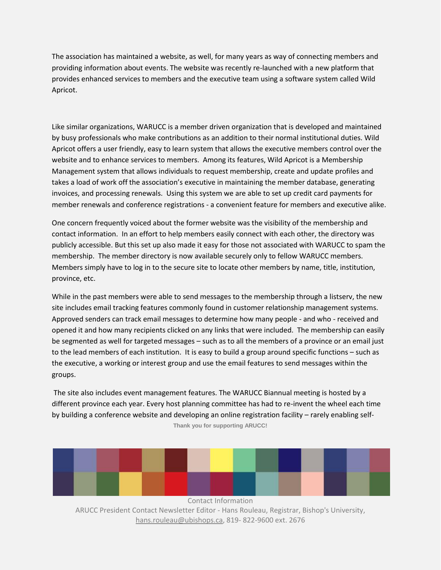The association has maintained a website, as well, for many years as way of connecting members and providing information about events. The website was recently re-launched with a new platform that provides enhanced services to members and the executive team using a software system called Wild Apricot.

Like similar organizations, WARUCC is a member driven organization that is developed and maintained by busy professionals who make contributions as an addition to their normal institutional duties. Wild Apricot offers a user friendly, easy to learn system that allows the executive members control over the website and to enhance services to members. Among its features, Wild Apricot is a Membership Management system that allows individuals to request membership, create and update profiles and takes a load of work off the association's executive in maintaining the member database, generating invoices, and processing renewals. Using this system we are able to set up credit card payments for member renewals and conference registrations - a convenient feature for members and executive alike.

One concern frequently voiced about the former website was the visibility of the membership and contact information. In an effort to help members easily connect with each other, the directory was publicly accessible. But this set up also made it easy for those not associated with WARUCC to spam the membership. The member directory is now available securely only to fellow WARUCC members. Members simply have to log in to the secure site to locate other members by name, title, institution, province, etc.

While in the past members were able to send messages to the membership through a listserv, the new site includes email tracking features commonly found in customer relationship management systems. Approved senders can track email messages to determine how many people - and who - received and opened it and how many recipients clicked on any links that were included. The membership can easily be segmented as well for targeted messages – such as to all the members of a province or an email just to the lead members of each institution. It is easy to build a group around specific functions – such as the executive, a working or interest group and use the email features to send messages within the groups.

**Thank you for supporting ARUCC!** The site also includes event management features. The WARUCC Biannual meeting is hosted by a different province each year. Every host planning committee has had to re-invent the wheel each time by building a conference website and developing an online registration facility – rarely enabling self-

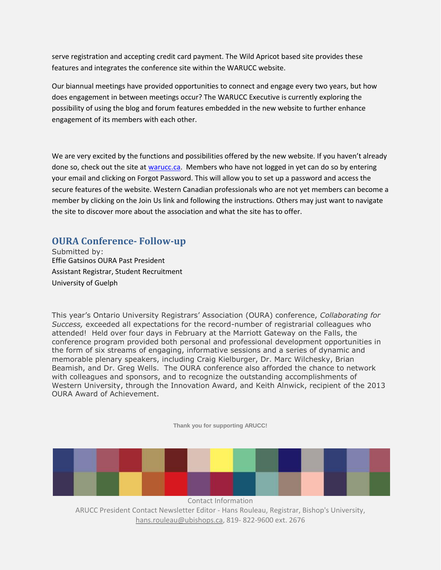serve registration and accepting credit card payment. The Wild Apricot based site provides these features and integrates the conference site within the WARUCC website.

Our biannual meetings have provided opportunities to connect and engage every two years, but how does engagement in between meetings occur? The WARUCC Executive is currently exploring the possibility of using the blog and forum features embedded in the new website to further enhance engagement of its members with each other.

We are very excited by the functions and possibilities offered by the new website. If you haven't already done so, check out the site at [warucc.ca.](http://warucc.ca/) Members who have not logged in yet can do so by entering your email and clicking on Forgot Password. This will allow you to set up a password and access the secure features of the website. Western Canadian professionals who are not yet members can become a member by clicking on the Join Us link and following the instructions. Others may just want to navigate the site to discover more about the association and what the site has to offer.

## <span id="page-3-0"></span>**OURA Conference- Follow-up**

Submitted by: Effie Gatsinos OURA Past President Assistant Registrar, Student Recruitment University of Guelph

This year's Ontario University Registrars' Association (OURA) conference, *Collaborating for Success,* exceeded all expectations for the record-number of registrarial colleagues who attended! Held over four days in February at the Marriott Gateway on the Falls, the conference program provided both personal and professional development opportunities in the form of six streams of engaging, informative sessions and a series of dynamic and memorable plenary speakers, including Craig Kielburger, Dr. Marc Wilchesky, Brian Beamish, and Dr. Greg Wells. The OURA conference also afforded the chance to network with colleagues and sponsors, and to recognize the outstanding accomplishments of Western University, through the Innovation Award, and Keith Alnwick, recipient of the 2013 OURA Award of Achievement.

**Thank you for supporting ARUCC!**

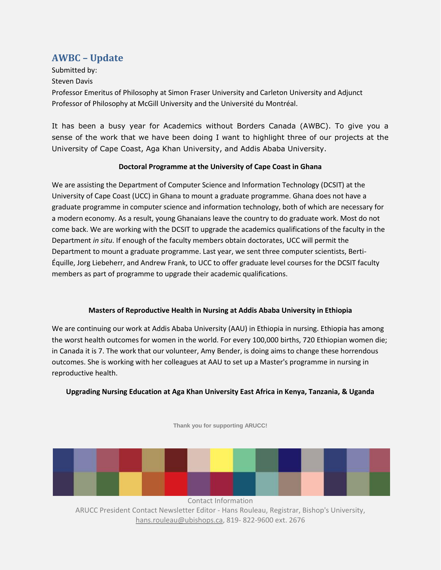# <span id="page-4-0"></span>**AWBC – Update**

Submitted by:

Steven Davis

Professor Emeritus of Philosophy at Simon Fraser University and Carleton University and Adjunct Professor of Philosophy at McGill University and the Université du Montréal.

It has been a busy year for Academics without Borders Canada (AWBC). To give you a sense of the work that we have been doing I want to highlight three of our projects at the University of Cape Coast, Aga Khan University, and Addis Ababa University.

#### **Doctoral Programme at the University of Cape Coast in Ghana**

We are assisting the Department of Computer Science and Information Technology (DCSIT) at the University of Cape Coast (UCC) in Ghana to mount a graduate programme. Ghana does not have a graduate programme in computer science and information technology, both of which are necessary for a modern economy. As a result, young Ghanaians leave the country to do graduate work. Most do not come back. We are working with the DCSIT to upgrade the academics qualifications of the faculty in the Department *in situ*. If enough of the faculty members obtain doctorates, UCC will permit the Department to mount a graduate programme. Last year, we sent three computer scientists, Berti-Équille, Jorg Liebeherr, and Andrew Frank, to UCC to offer graduate level courses for the DCSIT faculty members as part of programme to upgrade their academic qualifications.

#### **Masters of Reproductive Health in Nursing at Addis Ababa University in Ethiopia**

We are continuing our work at Addis Ababa University (AAU) in Ethiopia in nursing. Ethiopia has among the worst health outcomes for women in the world. For every 100,000 births, 720 Ethiopian women die; in Canada it is 7. The work that our volunteer, Amy Bender, is doing aims to change these horrendous outcomes. She is working with her colleagues at AAU to set up a Master's programme in nursing in reproductive health.

#### **Upgrading Nursing Education at Aga Khan University East Africa in Kenya, Tanzania, & Uganda**



**Thank you for supporting ARUCC!**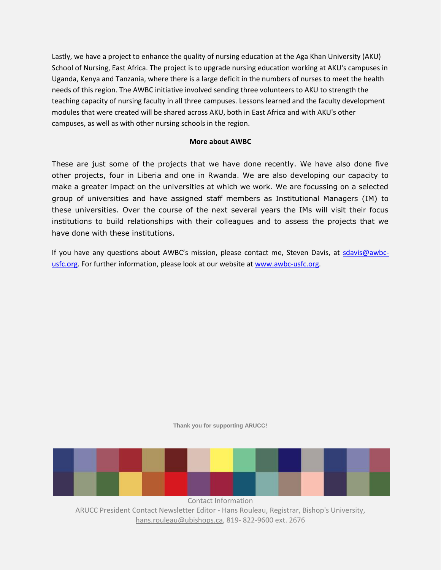Lastly, we have a project to enhance the quality of nursing education at the Aga Khan University (AKU) School of Nursing, East Africa. The project is to upgrade nursing education working at AKU's campuses in Uganda, Kenya and Tanzania, where there is a large deficit in the numbers of nurses to meet the health needs of this region. The AWBC initiative involved sending three volunteers to AKU to strength the teaching capacity of nursing faculty in all three campuses. Lessons learned and the faculty development modules that were created will be shared across AKU, both in East Africa and with AKU's other campuses, as well as with other nursing schools in the region.

#### **More about AWBC**

These are just some of the projects that we have done recently. We have also done five other projects, four in Liberia and one in Rwanda. We are also developing our capacity to make a greater impact on the universities at which we work. We are focussing on a selected group of universities and have assigned staff members as Institutional Managers (IM) to these universities. Over the course of the next several years the IMs will visit their focus institutions to build relationships with their colleagues and to assess the projects that we have done with these institutions.

If you have any questions about AWBC's mission, please contact me, Steven Davis, at [sdavis@awbc](mailto:sdavis@awbc-usfc.org)[usfc.org.](mailto:sdavis@awbc-usfc.org) For further information, please look at our website at [www.awbc-usfc.org.](http://www.awbc-usfc.org/)

**Thank you for supporting ARUCC!**



hans.rouleau@ubishops.ca, 819- 822-9600 ext. 2676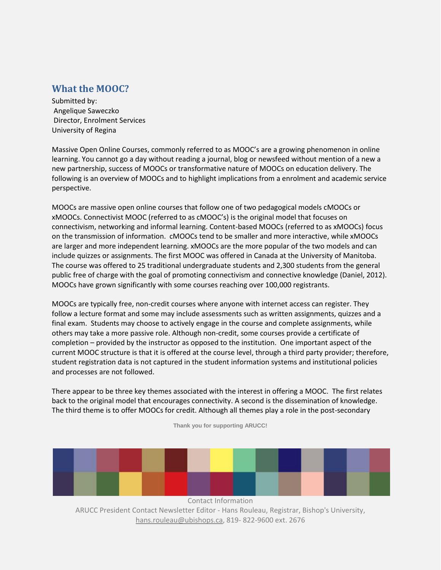## <span id="page-6-0"></span>**What the MOOC?**

Submitted by: Angelique Saweczko Director, Enrolment Services University of Regina

Massive Open Online Courses, commonly referred to as MOOC's are a growing phenomenon in online learning. You cannot go a day without reading a journal, blog or newsfeed without mention of a new a new partnership, success of MOOCs or transformative nature of MOOCs on education delivery. The following is an overview of MOOCs and to highlight implications from a enrolment and academic service perspective.

MOOCs are massive open online courses that follow one of two pedagogical models cMOOCs or xMOOCs. Connectivist MOOC (referred to as cMOOC's) is the original model that focuses on connectivism, networking and informal learning. Content-based MOOCs (referred to as xMOOCs) focus on the transmission of information. cMOOCs tend to be smaller and more interactive, while xMOOCs are larger and more independent learning. xMOOCs are the more popular of the two models and can include quizzes or assignments. The first MOOC was offered in Canada at the University of Manitoba. The course was offered to 25 traditional undergraduate students and 2,300 students from the general public free of charge with the goal of promoting connectivism and connective knowledge (Daniel, 2012). MOOCs have grown significantly with some courses reaching over 100,000 registrants.

MOOCs are typically free, non-credit courses where anyone with internet access can register. They follow a lecture format and some may include assessments such as written assignments, quizzes and a final exam. Students may choose to actively engage in the course and complete assignments, while others may take a more passive role. Although non-credit, some courses provide a certificate of completion – provided by the instructor as opposed to the institution. One important aspect of the current MOOC structure is that it is offered at the course level, through a third party provider; therefore, student registration data is not captured in the student information systems and institutional policies and processes are not followed.

There appear to be three key themes associated with the interest in offering a MOOC. The first relates back to the original model that encourages connectivity. A second is the dissemination of knowledge. The third theme is to offer MOOCs for credit. Although all themes play a role in the post-secondary



hans.rouleau@ubishops.ca, 819- 822-9600 ext. 2676

**Thank you for supporting ARUCC!**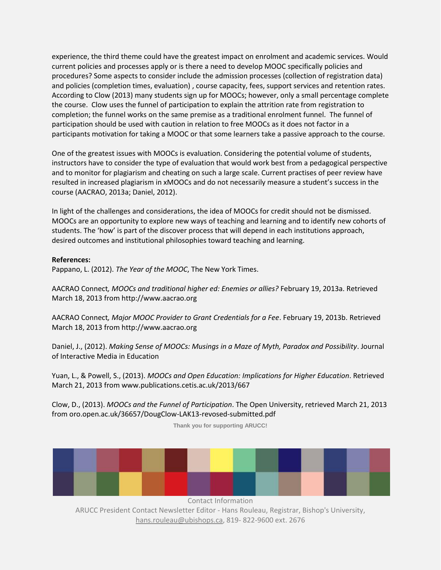experience, the third theme could have the greatest impact on enrolment and academic services. Would current policies and processes apply or is there a need to develop MOOC specifically policies and procedures? Some aspects to consider include the admission processes (collection of registration data) and policies (completion times, evaluation) , course capacity, fees, support services and retention rates. According to Clow (2013) many students sign up for MOOCs; however, only a small percentage complete the course. Clow uses the funnel of participation to explain the attrition rate from registration to completion; the funnel works on the same premise as a traditional enrolment funnel. The funnel of participation should be used with caution in relation to free MOOCs as it does not factor in a participants motivation for taking a MOOC or that some learners take a passive approach to the course.

One of the greatest issues with MOOCs is evaluation. Considering the potential volume of students, instructors have to consider the type of evaluation that would work best from a pedagogical perspective and to monitor for plagiarism and cheating on such a large scale. Current practises of peer review have resulted in increased plagiarism in xMOOCs and do not necessarily measure a student's success in the course (AACRAO, 2013a; Daniel, 2012).

In light of the challenges and considerations, the idea of MOOCs for credit should not be dismissed. MOOCs are an opportunity to explore new ways of teaching and learning and to identify new cohorts of students. The 'how' is part of the discover process that will depend in each institutions approach, desired outcomes and institutional philosophies toward teaching and learning.

#### **References:**

Pappano, L. (2012). *The Year of the MOOC*, The New York Times.

AACRAO Connect*, MOOCs and traditional higher ed: Enemies or allies?* February 19, 2013a. Retrieved March 18, 2013 from http://www.aacrao.org

AACRAO Connect*, Major MOOC Provider to Grant Credentials for a Fee*. February 19, 2013b. Retrieved March 18, 2013 from http://www.aacrao.org

Daniel, J., (2012). *Making Sense of MOOCs: Musings in a Maze of Myth, Paradox and Possibility*. Journal of Interactive Media in Education

Yuan, L., & Powell, S., (2013). *MOOCs and Open Education: Implications for Higher Education*. Retrieved March 21, 2013 from www.publications.cetis.ac.uk/2013/667

Clow, D., (2013). *MOOCs and the Funnel of Participation*. The Open University, retrieved March 21, 2013 from oro.open.ac.uk/36657/DougClow-LAK13-revosed-submitted.pdf

**Thank you for supporting ARUCC!**



Contact Information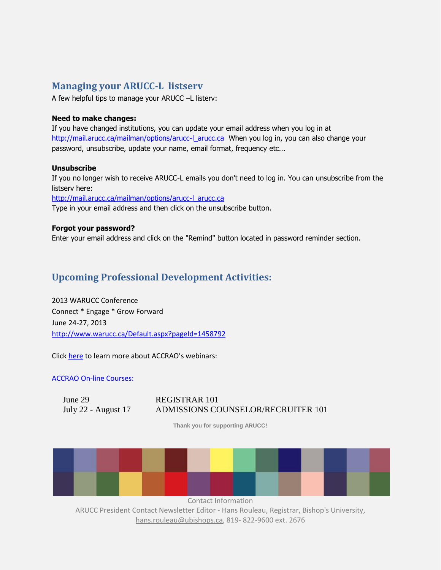## <span id="page-8-0"></span>**Managing your ARUCC-L listserv**

A few helpful tips to manage your ARUCC –L listerv:

#### **Need to make changes:**

If you have changed institutions, you can update your email address when you log in at [http://mail.arucc.ca/mailman/options/arucc-l\\_arucc.ca](http://mail.arucc.ca/mailman/options/arucc-l_arucc.ca) When you log in, you can also change your password, unsubscribe, update your name, email format, frequency etc...

#### **Unsubscribe**

If you no longer wish to receive ARUCC-L emails you don't need to log in. You can unsubscribe from the listserv here:

[http://mail.arucc.ca/mailman/options/arucc-l\\_arucc.ca](http://mail.arucc.ca/mailman/options/arucc-l_arucc.ca)

Type in your email address and then click on the unsubscribe button.

#### **Forgot your password?**

Enter your email address and click on the "Remind" button located in password reminder section.

# <span id="page-8-1"></span>**Upcoming Professional Development Activities:**

2013 WARUCC Conference Connect \* Engage \* Grow Forward June 24-27, 2013 <http://www.warucc.ca/Default.aspx?pageId=1458792>

Click [here](http://webinar.aacrao.org/) to learn more about ACCRAO's webinars:

[ACCRAO On-line Courses:](http://www.aacrao.org/Professional-Development/online-courses/OnlineCourseCalendar.aspx#.Ua4DK9i8CSo)

June 29 REGISTRAR 101

# July 22 - August 17 ADMISSIONS COUNSELOR/RECRUITER 101

**Thank you for supporting ARUCC!**



Contact Information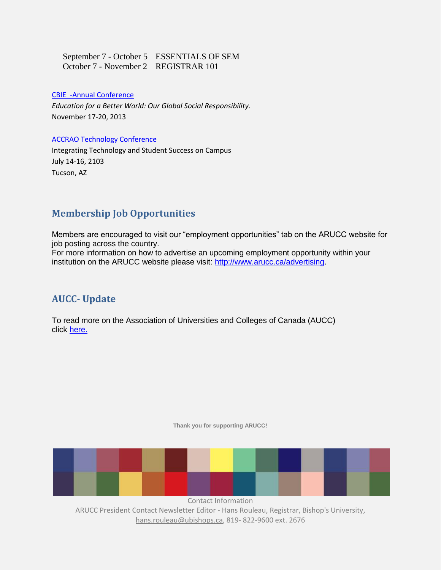September 7 - October 5 ESSENTIALS OF SEM October 7 - November 2 REGISTRAR 101

[CBIE -Annual Conference](http://www.cbie-bcei.ca/events/2013-annual-conference/)

*Education for a Better World: Our Global Social Responsibility.* November 17-20, 2013

#### [ACCRAO Technology Conference](http://www.aacrao.org/images/email/2013-AACRAO-Tech-Reg-Bro-4.pdf)

Integrating Technology and Student Success on Campus July 14-16, 2103 Tucson, AZ

### <span id="page-9-0"></span>**Membership Job Opportunities**

Members are encouraged to visit our "employment opportunities" tab on the ARUCC website for job posting across the country.

For more information on how to advertise an upcoming employment opportunity within your institution on the ARUCC website please visit: [http://www.arucc.ca/advertising.](http://www.arucc.ca/advertising)

## <span id="page-9-1"></span>**AUCC- Update**

<span id="page-9-2"></span>To read more on the Association of Universities and Colleges of Canada (AUCC) click [here.](http://www.arucc.com/documents/AUCCupdateMarch2013.pdf)

**Thank you for supporting ARUCC!**